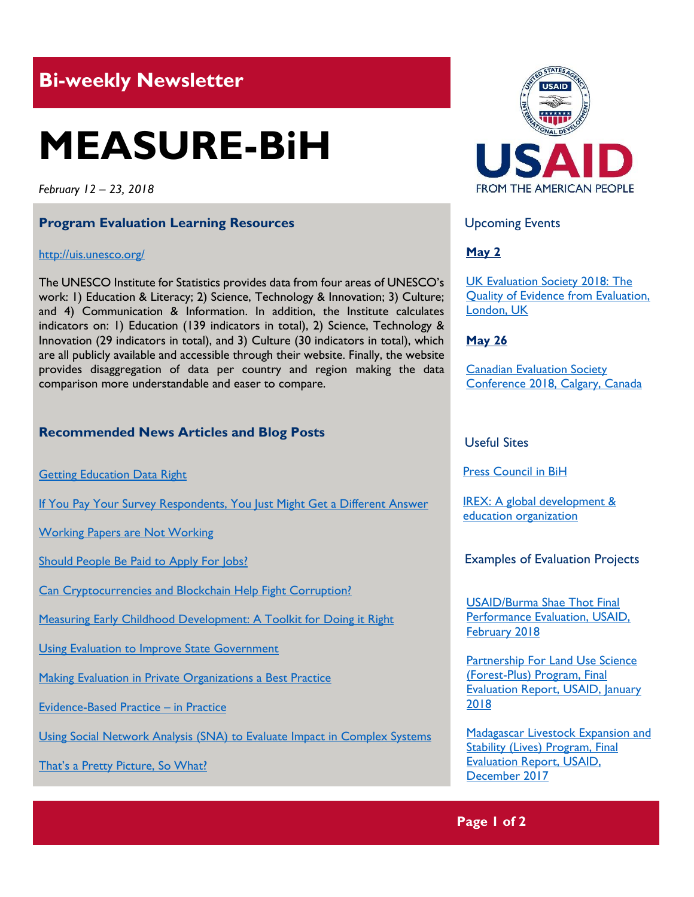# **Bi-weekly Newsletter**

# **MEASURE-BiH**

*February 12 – 23, 2018*

#### **Program Evaluation Learning Resources**

#### http://uis.unesco.org/

The UNESCO Institute for Statistics provides data from four areas of UNESCO's work: 1) Education & Literacy; 2) Science, Technology & Innovation; 3) Culture; and 4) Communication & Information. In addition, the Institute calculates indicators on: 1) Education (139 indicators in total), 2) Science, Technology & Innovation (29 indicators in total), and 3) Culture (30 indicators in total), which are all publicly available and accessible through their website. Finally, the website provides disaggregation of data per country and region making the data comparison more understandable and easer to compare.

## **Recommended News Articles and Blog Posts**

[Getting Education Data Right](https://www.youtube.com/watch?v=aSxWHsrHqMw&feature=youtu.be)

[If You Pay Your Survey Respondents, You Just Might Get a Different Answer](https://blogs.worldbank.org/impactevaluations/if-you-pay-your-survey-respondents-you-just-might-get-different-answer)

[Working Papers are Not Working](https://blogs.worldbank.org/impactevaluations/working-papers-are-not-working)

[Should People Be Paid to Apply For Jobs?](https://blogs.worldbank.org/impactevaluations/should-people-be-paid-apply-jobs-guest-post-stefano-caria)

[Can Cryptocurrencies and Blockchain Help Fight Corruption?](https://blogs.worldbank.org/voices/can-cryptocurrencies-and-blockchain-help-fight-corruption)

[Measuring Early Childhood Development: A Toolkit for Doing it Right](https://blogs.worldbank.org/education/measuring-early-childhood-development-toolkit-doing-it-right)

[Using Evaluation to Improve State Government](http://aea365.org/blog/azenet-week-using-evaluation-to-improve-state-government-by-scott-swagerty/?utm_source=feedburner&utm_medium=feed&utm_campaign=Feed%3A+aea365+%28AEA365%29)

[Making Evaluation in Private Organizations a Best Practice](http://aea365.org/blog/azenet-week-making-evaluation-in-private-organizations-a-best-practice-by-deven-wisner/?utm_source=feedburner&utm_medium=feed&utm_campaign=Feed%3A+aea365+%28AEA365%29)

[Evidence-Based Practice](http://aea365.org/blog/azenet-week-evidence-based-practice-in-practice-by-wendy-wolfersteig/?utm_source=feedburner&utm_medium=feed&utm_campaign=Feed%3A+aea365+%28AEA365%29) – in Practice

Using Social Network Analysis (SNA) [to Evaluate Impact in Complex Systems](http://aea365.org/blog/sna-tig-week-using-sna-to-evaluate-impact-in-complex-systems-by-jeneen-r-garcia/?utm_source=feedburner&utm_medium=feed&utm_campaign=Feed%3A+aea365+%28AEA365%29)

[That's a Pretty Picture, So What?](http://aea365.org/blog/sna-tig-week-thats-a-pretty-picture-so-what-by-rebecca-swann-jackson/)



Upcoming Events

## **May 2**

[UK Evaluation Society 2018: The](http://mande.co.uk/conferences/?event_id1=40)  [Quality of Evidence from Evaluation,](http://mande.co.uk/conferences/?event_id1=40)  [London, UK](http://mande.co.uk/conferences/?event_id1=40)

#### **May 26**

[Canadian Evaluation Society](http://mande.co.uk/conferences/?event_id1=38)  [Conference 2018,](http://mande.co.uk/conferences/?event_id1=38) Calgary, Canada

#### Useful Sites

[Press Council in BiH](http://english.vzs.ba/)

[IREX: A global development &](http://www.irex.org/)  [education organization](http://www.irex.org/)

Examples of Evaluation Projects

[USAID/Burma Shae Thot Final](http://pdf.usaid.gov/pdf_docs/pa00ssdw.pdf)  [Performance Evaluation, USAID,](http://pdf.usaid.gov/pdf_docs/pa00ssdw.pdf)  [February 2018](http://pdf.usaid.gov/pdf_docs/pa00ssdw.pdf)

**Partnership For Land Use Science** [\(Forest-Plus\) Program, Final](http://pdf.usaid.gov/pdf_docs/pa00d5tm.pdf)  [Evaluation Report, USAID, January](http://pdf.usaid.gov/pdf_docs/pa00d5tm.pdf)  [2018](http://pdf.usaid.gov/pdf_docs/pa00d5tm.pdf)

**Madagascar Livestock Expansion and** Stability (Lives) Program, Final [Evaluation Report, USAID,](http://pdf.usaid.gov/pdf_docs/pa00n75n.pdf)  [December 2017](http://pdf.usaid.gov/pdf_docs/pa00n75n.pdf)

# **Page 1 of 2**